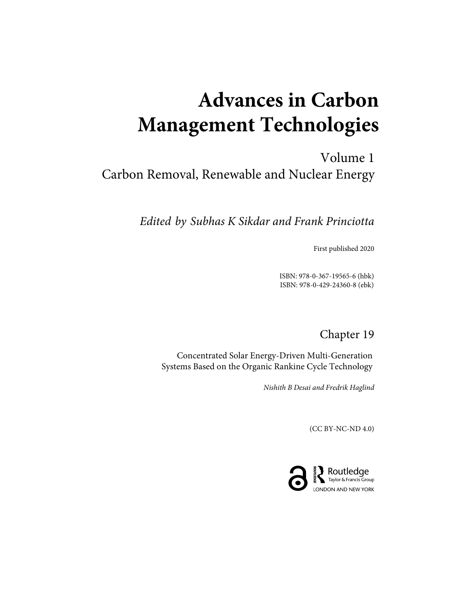# **Advances in Carbon Management Technologies**

Volume 1 Carbon Removal, Renewable and Nuclear Energy

*Edited by Subhas K Sikdar and Frank Princiotta*

First published 2020

ISBN: 978-0-367-19565-6 (hbk) ISBN: 978-0-429-24360-8 (ebk)

### Chapter 19

Concentrated Solar Energy-Driven Multi-Generation Systems Based on the Organic Rankine Cycle Technology

*Nishith B Desai and Fredrik Haglind*

(CC BY-NC-ND 4.0)

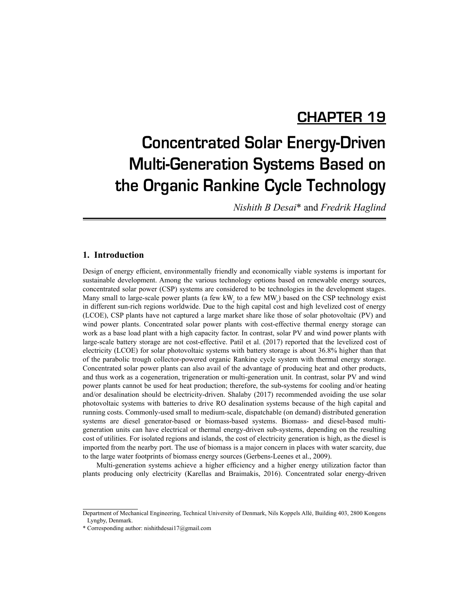## **CHAPTER 19**

## **Concentrated Solar Energy-Driven Multi-Generation Systems Based on the Organic Rankine Cycle Technology**

*Nishith B Desai*\* and *Fredrik Haglind*

#### **1. Introduction**

Design of energy efficient, environmentally friendly and economically viable systems is important for sustainable development. Among the various technology options based on renewable energy sources, concentrated solar power (CSP) systems are considered to be technologies in the development stages. Many small to large-scale power plants (a few  $kW_e$  to a few  $MW_e$ ) based on the CSP technology exist in different sun-rich regions worldwide. Due to the high capital cost and high levelized cost of energy (LCOE), CSP plants have not captured a large market share like those of solar photovoltaic (PV) and wind power plants. Concentrated solar power plants with cost-effective thermal energy storage can work as a base load plant with a high capacity factor. In contrast, solar PV and wind power plants with large-scale battery storage are not cost-effective. Patil et al. (2017) reported that the levelized cost of electricity (LCOE) for solar photovoltaic systems with battery storage is about 36.8% higher than that of the parabolic trough collector-powered organic Rankine cycle system with thermal energy storage. Concentrated solar power plants can also avail of the advantage of producing heat and other products, and thus work as a cogeneration, trigeneration or multi-generation unit. In contrast, solar PV and wind power plants cannot be used for heat production; therefore, the sub-systems for cooling and/or heating and/or desalination should be electricity-driven. Shalaby (2017) recommended avoiding the use solar photovoltaic systems with batteries to drive RO desalination systems because of the high capital and running costs. Commonly-used small to medium-scale, dispatchable (on demand) distributed generation systems are diesel generator-based or biomass-based systems. Biomass- and diesel-based multigeneration units can have electrical or thermal energy-driven sub-systems, depending on the resulting cost of utilities. For isolated regions and islands, the cost of electricity generation is high, as the diesel is imported from the nearby port. The use of biomass is a major concern in places with water scarcity, due to the large water footprints of biomass energy sources (Gerbens-Leenes et al., 2009).

Multi-generation systems achieve a higher efficiency and a higher energy utilization factor than plants producing only electricity (Karellas and Braimakis, 2016). Concentrated solar energy-driven

Department of Mechanical Engineering, Technical University of Denmark, Nils Koppels Allé, Building 403, 2800 Kongens Lyngby, Denmark.

<sup>\*</sup> Corresponding author: nishithdesai17@gmail.com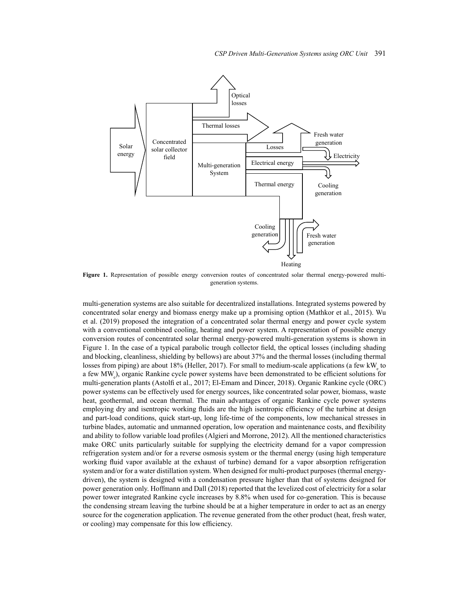

**Figure 1.** Representation of possible energy conversion routes of concentrated solar thermal energy-powered multigeneration systems.

multi-generation systems are also suitable for decentralized installations. Integrated systems powered by concentrated solar energy and biomass energy make up a promising option (Mathkor et al., 2015). Wu et al. (2019) proposed the integration of a concentrated solar thermal energy and power cycle system with a conventional combined cooling, heating and power system. A representation of possible energy with a conventional combined cooling, heating and power system. A representation of possible energy conversion routes of concentrated solar thermal energy-powered multi-generation systems is shown in Figure 1. In the case of a typical parabolic trough collector field, the optical losses (including shading and blocking, cleanliness, shielding by bellows) are about 37% and the thermal losses (including thermal losses from piping) are about 18% (Heller, 2017). For small to medium-scale applications (a few kW<sup>e</sup> to linear Fresnel reflector (LFR) technology with flat mirrors and simple structure are proposed as promising a few MW<sub>e</sub>), organic Rankine cycle power systems have been demonstrated to be efficient solutions for multi-generation plants (Astolfi et al., 2017; El-Emam and Dincer, 2018). Organic Rankine cycle (ORC) power systems can be effectively used for energy sources, like concentrated solar power, biomass, waste heat, geothermal, and ocean thermal. The main advantages of organic Rankine cycle power systems employing dry and isentropic working fluids are the high isentropic efficiency of the turbine at design and part-load conditions, quick start-up, long life-time of the components, low mechanical stresses in turbine blades, automatic and unmanned operation, low operation and maintenance costs, and flexibility and ability to follow variable load profiles (Algieri and Morrone, 2012). All the mentioned characteristics make ORC units particularly suitable for supplying the electricity demand for a vapor compression refrigeration system and/or for a reverse osmosis system or the thermal energy (using high temperature working fluid vapor available at the exhaust of turbine) demand for a vapor absorption refrigeration system and/or for a water distillation system. When designed for multi-product purposes (thermal energydriven), the system is designed with a condensation pressure higher than that of systems designed for power generation only. Hoffmann and Dall (2018) reported that the levelized cost of electricity for a solar power tower integrated Rankine cycle increases by 8.8% when used for co-generation. This is because the condensing stream leaving the turbine should be at a higher temperature in order to act as an energy source for the cogeneration application. The revenue generated from the other product (heat, fresh water, or cooling) may compensate for this low efficiency.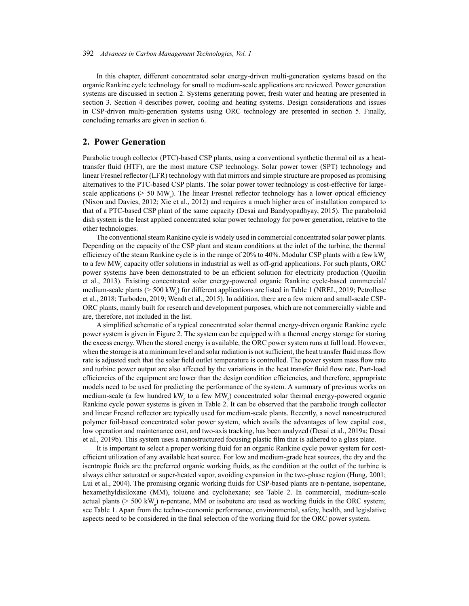In this chapter, different concentrated solar energy-driven multi-generation systems based on the organic Rankine cycle technology for small to medium-scale applications are reviewed. Power generation systems are discussed in section 2. Systems generating power, fresh water and heating are presented in section 3. Section 4 describes power, cooling and heating systems. Design considerations and issues in CSP-driven multi-generation systems using ORC technology are presented in section 5. Finally, concluding remarks are given in section 6.

#### **2. Power Generation**

Parabolic trough collector (PTC)-based CSP plants, using a conventional synthetic thermal oil as a heattransfer fluid (HTF), are the most mature CSP technology. Solar power tower (SPT) technology and linear Fresnel reflector (LFR) technology with flat mirrors and simple structure are proposed as promising alternatives to the PTC-based CSP plants. The solar power tower technology is cost-effective for largescale applications ( $> 50 \text{ MW}_e$ ). The linear Fresnel reflector technology has a lower optical efficiency (Nixon and Davies, 2012; Xie et al., 2012) and requires a much higher area of installation compared to that of a PTC-based CSP plant of the same capacity (Desai and Bandyopadhyay, 2015). The paraboloid dish system is the least applied concentrated solar power technology for power generation, relative to the other technologies.

The conventional steam Rankine cycle is widely used in commercial concentrated solar power plants. Depending on the capacity of the CSP plant and steam conditions at the inlet of the turbine, the thermal efficiency of the steam Rankine cycle is in the range of 20% to 40%. Modular CSP plants with a few kW to a few MW<sub>e</sub> capacity offer solutions in industrial as well as off-grid applications. For such plants, ORC power systems have been demonstrated to be an efficient solution for electricity production (Quoilin et al., 2013). Existing concentrated solar energy-powered organic Rankine cycle-based commercial/ medium-scale plants ( $> 500 \text{ kW}_{e}$ ) for different applications are listed in Table 1 (NREL, 2019; Petrollese et al., 2018; Turboden, 2019; Wendt et al., 2015). In addition, there are a few micro and small-scale CSP-ORC plants, mainly built for research and development purposes, which are not commercially viable and are, therefore, not included in the list.

A simplified schematic of a typical concentrated solar thermal energy-driven organic Rankine cycle power system is given in Figure 2. The system can be equipped with a thermal energy storage for storing the excess energy. When the stored energy is available, the ORC power system runs at full load. However, when the storage is at a minimum level and solar radiation is not sufficient, the heat transfer fluid mass flow rate is adjusted such that the solar field outlet temperature is controlled. The power system mass flow rate and turbine power output are also affected by the variations in the heat transfer fluid flow rate. Part-load efficiencies of the equipment are lower than the design condition efficiencies, and therefore, appropriate models need to be used for predicting the performance of the system. A summary of previous works on medium-scale (a few hundred kW<sub>e</sub> to a few MW<sub>e</sub>) concentrated solar thermal energy-powered organic Rankine cycle power systems is given in Table 2. It can be observed that the parabolic trough collector and linear Fresnel reflector are typically used for medium-scale plants. Recently, a novel nanostructured polymer foil-based concentrated solar power system, which avails the advantages of low capital cost, low operation and maintenance cost, and two-axis tracking, has been analyzed (Desai et al., 2019a; Desai et al., 2019b). This system uses a nanostructured focusing plastic film that is adhered to a glass plate.

It is important to select a proper working fluid for an organic Rankine cycle power system for costefficient utilization of any available heat source. For low and medium-grade heat sources, the dry and the isentropic fluids are the preferred organic working fluids, as the condition at the outlet of the turbine is always either saturated or super-heated vapor, avoiding expansion in the two-phase region (Hung, 2001; Lui et al., 2004). The promising organic working fluids for CSP-based plants are n-pentane, isopentane, hexamethyldisiloxane (MM), toluene and cyclohexane; see Table 2. In commercial, medium-scale actual plants ( $> 500 \text{ kW}_{e}$ ) n-pentane, MM or isobutene are used as working fluids in the ORC system; see Table 1. Apart from the techno-economic performance, environmental, safety, health, and legislative aspects need to be considered in the final selection of the working fluid for the ORC power system.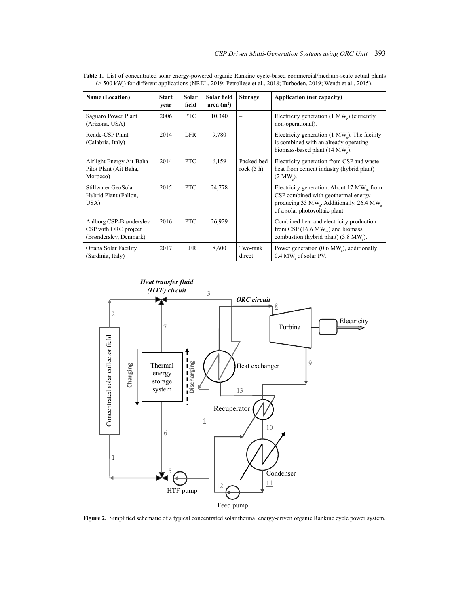**Table 1.** List of concentrated solar energy-powered organic Rankine cycle-based commercial/medium-scale actual plants  $(> 500 \text{ kW}_e)$  for different applications (NREL, 2019; Petrollese et al., 2018; Turboden, 2019; Wendt et al., 2015).

| <b>Name (Location)</b>                                                    | <b>Start</b><br>year | <b>Solar</b><br>field | Solar field<br>area $(m2)$ | <b>Storage</b>             | Application (net capacity)                                                                                                                                                                                        |
|---------------------------------------------------------------------------|----------------------|-----------------------|----------------------------|----------------------------|-------------------------------------------------------------------------------------------------------------------------------------------------------------------------------------------------------------------|
| Saguaro Power Plant<br>(Arizona, USA)                                     | 2006                 | PTC                   | 10,340                     |                            | Electricity generation (1 MW) (currently<br>non-operational).                                                                                                                                                     |
| Rende-CSP Plant<br>(Calabria, Italy)                                      | 2014                 | <b>LFR</b>            | 9,780                      |                            | Electricity generation $(1 \text{ MW})$ . The facility<br>is combined with an already operating<br>biomass-based plant (14 MW).                                                                                   |
| Airlight Energy Ait-Baha<br>Pilot Plant (Ait Baha,<br>Morocco)            | 2014                 | <b>PTC</b>            | 6,159                      | Packed-bed<br>rock $(5 h)$ | Electricity generation from CSP and waste<br>heat from cement industry (hybrid plant)<br>$(2 MW)$ .                                                                                                               |
| Stillwater GeoSolar<br>Hybrid Plant (Fallon,<br>USA)                      | 2015                 | PTC.                  | 24,778                     |                            | Electricity generation. About 17 MW <sub><math>th</math></sub> from<br>CSP combined with geothermal energy<br>producing 33 MW <sub>s</sub> . Additionally, 26.4 MW <sub>s</sub><br>of a solar photovoltaic plant. |
| Aalborg CSP-Brønderslev<br>CSP with ORC project<br>(Brønderslev, Denmark) | 2016                 | <b>PTC</b>            | 26,929                     |                            | Combined heat and electricity production<br>from CSP $(16.6 \text{ MW}_{4})$ and biomass<br>combustion (hybrid plant) (3.8 MW).                                                                                   |
| Ottana Solar Facility<br>(Sardinia, Italy)                                | 2017                 | <b>LFR</b>            | 8,600                      | Two-tank<br>direct         | Power generation (0.6 MW), additionally<br>0.4 MW of solar PV.                                                                                                                                                    |



**Figure 2.** Simplified schematic of a typical concentrated solar thermal energy-driven organic Rankine cycle power system.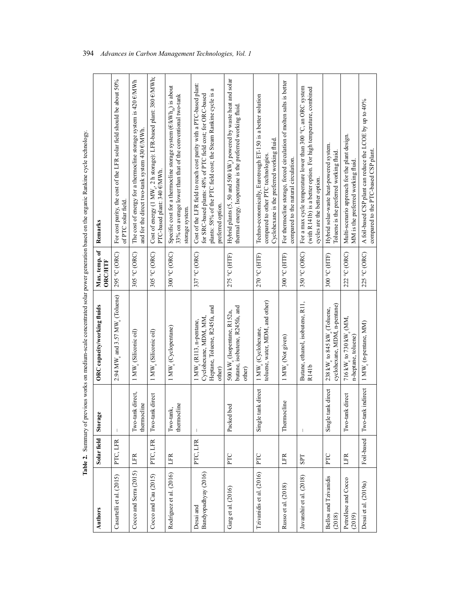Table 2. Summary of previous works on medium-scale concentrated solar power generation based on the organic Rankine cycle technology. **Table 2.** Summary of previous works on medium-scale concentrated solar power generation based on the organic Rankine cycle technology.

| Authors                           | Solar field | Storage                         | ORC capacity/working fluids                                                                             | Max. temp. of<br>ORC/HTF | Remarks                                                                                                                                                                                                                  |
|-----------------------------------|-------------|---------------------------------|---------------------------------------------------------------------------------------------------------|--------------------------|--------------------------------------------------------------------------------------------------------------------------------------------------------------------------------------------------------------------------|
| Casartelli et al. (2015)          | PTC, LFR    |                                 | 2.94 $M_{\odot}$ and 3.57 $M_{\odot}$ (Toluene)                                                         | 295 °C (ORC)             | For cost parity, the cost of the LFR solar field should be about 50%<br>of PTC solar field.                                                                                                                              |
| Cocco and Serra (2015)            | LFR         | Two-tank direct,<br>thermocline | 1 MW <sub>e</sub> (Siliconic oil)                                                                       | 305 °C (ORC)             | The cost of energy for a thermocline storage system is $420 \text{ e}$ /MWh<br>and for the direct two-tank system 430 $\epsilon$ /MWh.                                                                                   |
| Cocco and Cau (2015)              | PTC, LFR    | Two-tank direct                 | 1 MW <sub>e</sub> (Siliconic oil)                                                                       | 305 °C (ORC)             | Cost of energy (1 MW <sub>2</sub> , 2 h storage): LFR-based plant: 380 €/MWh;<br>PTC-based plant: 340 €/MWh.                                                                                                             |
| Rodríguez et al. (2016)           | LFR         | thermocline<br>Two-tank,        | 1 MW <sub>e</sub> (Cyclopentane)                                                                        | 300 °C (ORC)             | Specific cost for a thermocline storage system $(E/kWh_n)$ is about<br>33% on average lower than that of the conventional two-tank<br>storage system.                                                                    |
| Bandyopadhyay (2016)<br>Desai and | PTC, LFR    |                                 | Heptane, Toluene, R245fa, and<br>Cyclohexane, MDM, MM,<br>1 MW <sub>e</sub> (R113, n-pentane,<br>other) | 337 °C (ORC)             | Cost of the LFR field to reach cost parity with a PTC-based plant:<br>plants: 58% of the PTC field cost; the Steam Rankine cycle is a<br>for SRC-based plants: 48% of PTC field cost; for ORC-based<br>preferred option. |
| Garg et al. (2016)                | PTC         | Packed bed                      | butane, isobutene, R245fa, and<br>500 kW <sub>e</sub> (Isopentane, R152a,<br>other)                     | 275 °C (HTF)             | Hybrid plants (5, 50 and 500 kW <sub>c</sub> ) powered by waste heat and solar<br>thermal energy. Isopentane is the preferred working fluid.                                                                             |
| Tzivanidis et al. (2016)          | PTC         | tank direct<br>Single           | toluene, water, MDM, and other)<br>1 MW <sub>e</sub> (Cyclohexane,                                      | 270 °C (HTF)             | Techno-economically, Eurotrough ET-150 is a better solution<br>Cyclohexane is the preferred working fluid.<br>compared to other PTC technologies.                                                                        |
| Russo et al. (2018)               | LFR         | Thermocline                     | 1 MW <sub>e</sub> (Not given)                                                                           | 300 °C (HTF)             | For thermocline storage, forced circulation of molten salts is better<br>compared to the natural circulation.                                                                                                            |
| Javanshir et al. (2018)           | SPT         |                                 | Butane, ethanol, isobutene, R11,<br>R141b                                                               | 350 °C (ORC)             | For a max cycle temperature lower than 300 °C, an ORC system<br>(with R141b) is a better option. For high temperature, combined<br>cycles are the better option.                                                         |
| Bellos and Tzivanidis<br>(2018)   | PTC         | tank direct<br>Single           | cyclohexane, MDM, n-pentane)<br>238 kW <sub>s</sub> to 845 kW <sub>s</sub> (Toluene,                    | 300 °C (HTF)             | Hybrid solar-waste heat-powered system.<br>Toluene is the preferred working fluid.                                                                                                                                       |
| Petrollese and Cocco<br>(2019)    | LFR         | Two-tank direct                 | 716 kW <sub>s</sub> to 730 kW <sub>s</sub> (MM,<br>n-heptane, toluene)                                  | 222 °C (ORC)             | Multi-scenario approach for the plant design.<br>MM is the preferred working fluid                                                                                                                                       |
| Desai et al. (2019a)              | Foil-based  | Two-tank indirect               | 1 MW <sub>e</sub> (n-pentane, MM)                                                                       | 225 °C (ORC)             | A foil-based CSP plant can reduce the LCOE by up to 40%<br>compared to the PTC-based CSP plant.                                                                                                                          |
|                                   |             |                                 |                                                                                                         |                          |                                                                                                                                                                                                                          |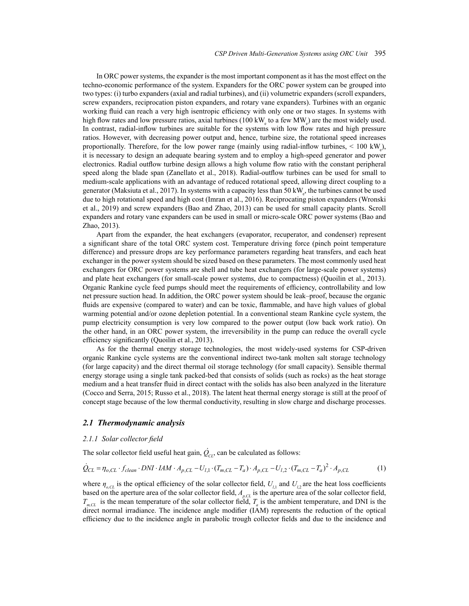In ORC power systems, the expander is the most important component as it has the most effect on the techno-economic performance of the system. Expanders for the ORC power system can be grouped into two types: (i) turbo expanders (axial and radial turbines), and (ii) volumetric expanders (scroll expanders, screw expanders, reciprocation piston expanders, and rotary vane expanders). Turbines with an organic working fluid can reach a very high isentropic efficiency with only one or two stages. In systems with high flow rates and low pressure ratios, axial turbines (100 kW<sub>e</sub> to a few MW<sub>e</sub>) are the most widely used. In contrast, radial-inflow turbines are suitable for the systems with low flow rates and high pressure ratios. However, with decreasing power output and, hence, turbine size, the rotational speed increases proportionally. Therefore, for the low power range (mainly using radial-inflow turbines,  $\langle 100 \text{ kW}_e \rangle$ , it is necessary to design an adequate bearing system and to employ a high-speed generator and power electronics. Radial outflow turbine design allows a high volume flow ratio with the constant peripheral speed along the blade span (Zanellato et al., 2018). Radial-outflow turbines can be used for small to medium-scale applications with an advantage of reduced rotational speed, allowing direct coupling to a generator (Maksiuta et al., 2017). In systems with a capacity less than 50 kW<sub>e</sub>, the turbines cannot be used due to high rotational speed and high cost (Imran et al., 2016). Reciprocating piston expanders (Wronski et al., 2019) and screw expanders (Bao and Zhao, 2013) can be used for small capacity plants. Scroll expanders and rotary vane expanders can be used in small or micro-scale ORC power systems (Bao and Zhao, 2013).

Apart from the expander, the heat exchangers (evaporator, recuperator, and condenser) represent a significant share of the total ORC system cost. Temperature driving force (pinch point temperature difference) and pressure drops are key performance parameters regarding heat transfers, and each heat exchanger in the power system should be sized based on these parameters. The most commonly used heat exchangers for ORC power systems are shell and tube heat exchangers (for large-scale power systems) and plate heat exchangers (for small-scale power systems, due to compactness) (Quoilin et al., 2013). Organic Rankine cycle feed pumps should meet the requirements of efficiency, controllability and low net pressure suction head. In addition, the ORC power system should be leak–proof, because the organic fluids are expensive (compared to water) and can be toxic, flammable, and have high values of global warming potential and/or ozone depletion potential. In a conventional steam Rankine cycle system, the pump electricity consumption is very low compared to the power output (low back work ratio). On the other hand, in an ORC power system, the irreversibility in the pump can reduce the overall cycle efficiency significantly (Quoilin et al., 2013).

As for the thermal energy storage technologies, the most widely-used systems for CSP-driven organic Rankine cycle systems are the conventional indirect two-tank molten salt storage technology (for large capacity) and the direct thermal oil storage technology (for small capacity). Sensible thermal energy storage using a single tank packed-bed that consists of solids (such as rocks) as the heat storage medium and a heat transfer fluid in direct contact with the solids has also been analyzed in the literature (Cocco and Serra, 2015; Russo et al., 2018). The latent heat thermal energy storage is still at the proof of concept stage because of the low thermal conductivity, resulting in slow charge and discharge processes.

#### *2.1 Thermodynamic analysis*

#### *2.1.1 Solar collector field*

The solar collector field useful heat gain,  $\dot{Q}_{cL}$ , can be calculated as follows:

$$
\dot{Q}_{CL} = \eta_{o,CL} \cdot f_{clean} \cdot DNI \cdot IAM \cdot A_{p,CL} - U_{l,1} \cdot (T_{m,CL} - T_a) \cdot A_{p,CL} - U_{l,2} \cdot (T_{m,CL} - T_a)^2 \cdot A_{p,CL}
$$
\n<sup>(1)</sup>

where  $\eta_{o,CL}$  is the optical efficiency of the solar collector field,  $U_{l,1}$  and  $U_{l,2}$  are the heat loss coefficients based on the aperture area of the solar collector field,  $A_{p,CL}$  is the aperture area of the solar collector field,  $T_{m,CL}$  is the mean temperature of the solar collector field,  $T_a$  is the ambient temperature, and DNI is the direct normal irradiance. The incidence angle modifier (IAM) represents the reduction of the optical efficiency due to the incidence angle in parabolic trough collector fields and due to the incidence and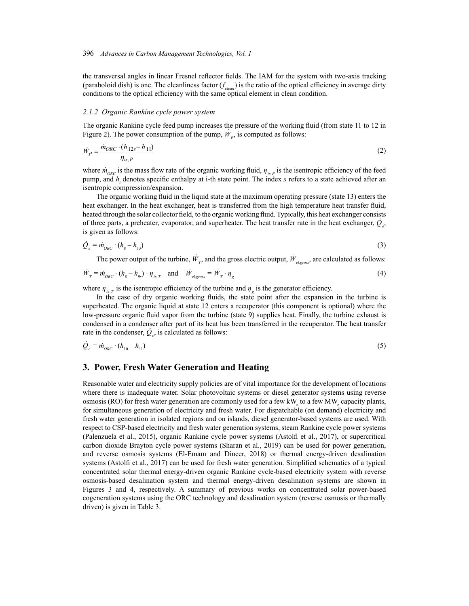the transversal angles in linear Fresnel reflector fields. The IAM for the system with two-axis tracking (paraboloid dish) is one. The cleanliness factor  $(f_{clean})$  is the ratio of the optical efficiency in average dirty conditions to the optical efficiency with the same optical element in clean condition.

#### *2.1.2 Organic Rankine cycle power system*

The organic Rankine cycle feed pump increases the pressure of the working fluid (from state 11 to 12 in Figure 2). The power consumption of the pump,  $\hat{W}_p$ , is computed as follows:

$$
\dot{W}_P = \frac{\dot{m}_{ORC} \cdot (h_{12s} - h_{11})}{\eta_{is,P}}
$$
\n(2)

where *m*<sub>*ORC</sub>* is the mass flow rate of the organic working fluid, *η<sub>is,P</sub>* is the isentropic efficiency of the feed</sub> pump, and *hi* denotes specific enthalpy at i-th state point. The index *s* refers to a state achieved after an isentropic compression/expansion.

The organic working fluid in the liquid state at the maximum operating pressure (state 13) enters the heat exchanger. In the heat exchanger, heat is transferred from the high temperature heat transfer fluid, heated through the solar collector field, to the organic working fluid. Typically, this heat exchanger consists of three parts, a preheater, evaporator, and superheater. The heat transfer rate in the heat exchanger,  $\dot{Q}_e$ , is given as follows:

$$
\dot{Q}_e = \dot{m}_{ORC} \cdot (h_s - h_{13}) \tag{3}
$$

The power output of the turbine,  $\dot{W}_r$ , and the gross electric output,  $\dot{W}_{el,gross}$ , are calculated as follows:

$$
\dot{W}_T = \dot{m}_{ORC} \cdot (h_s - h_{9s}) \cdot \eta_{is,T} \quad \text{and} \quad \dot{W}_{el,gross} = \dot{W}_T \cdot \eta_g \tag{4}
$$

where  $\eta_{is,T}$  is the isentropic efficiency of the turbine and  $\eta_g$  is the generator efficiency.

In the case of dry organic working fluids, the state point after the expansion in the turbine is superheated. The organic liquid at state 12 enters a recuperator (this component is optional) where the low-pressure organic fluid vapor from the turbine (state 9) supplies heat. Finally, the turbine exhaust is condensed in a condenser after part of its heat has been transferred in the recuperator. The heat transfer rate in the condenser,  $\dot{Q}_c$ , is calculated as follows:

$$
\dot{Q}_c = \dot{m}_{ORC} \cdot (h_{10} - h_{11}) \tag{5}
$$

#### **3. Power, Fresh Water Generation and Heating**

Reasonable water and electricity supply policies are of vital importance for the development of locations where there is inadequate water. Solar photovoltaic systems or diesel generator systems using reverse osmosis (RO) for fresh water generation are commonly used for a few  $kW_{\rm e}$  to a few  $MW_{\rm e}$  capacity plants, for simultaneous generation of electricity and fresh water. For dispatchable (on demand) electricity and fresh water generation in isolated regions and on islands, diesel generator-based systems are used. With respect to CSP-based electricity and fresh water generation systems, steam Rankine cycle power systems (Palenzuela et al., 2015), organic Rankine cycle power systems (Astolfi et al., 2017), or supercritical carbon dioxide Brayton cycle power systems (Sharan et al., 2019) can be used for power generation, and reverse osmosis systems (El-Emam and Dincer, 2018) or thermal energy-driven desalination systems (Astolfi et al., 2017) can be used for fresh water generation. Simplified schematics of a typical concentrated solar thermal energy-driven organic Rankine cycle-based electricity system with reverse osmosis-based desalination system and thermal energy-driven desalination systems are shown in Figures 3 and 4, respectively. A summary of previous works on concentrated solar power-based cogeneration systems using the ORC technology and desalination system (reverse osmosis or thermally driven) is given in Table 3.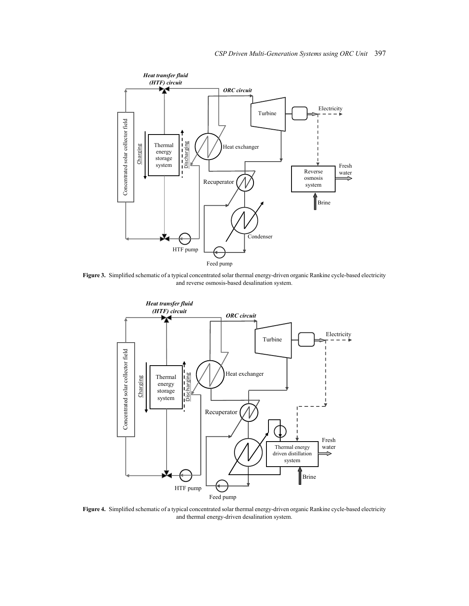

and reverse osmosis-based desalination system. **Figure 3.** Simplified schematic of a typical concentrated solar thermal energy-driven organic Rankine cycle-based electricity



Figure 4. Simplified schematic of a typical concentrated solar thermal energy-driven organic Rankine cycle-based electricity and thermal energy-driven desalination system.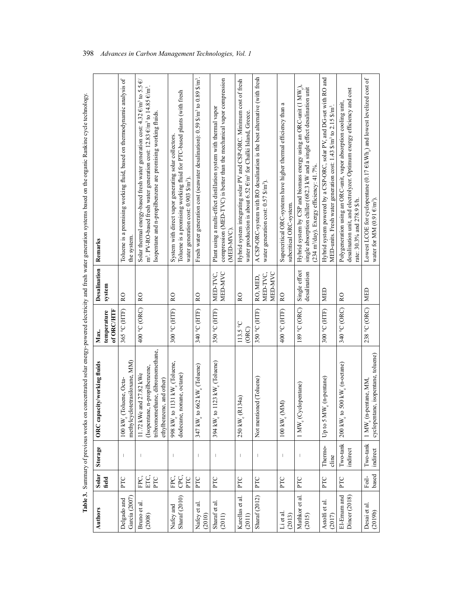Table 3. Summary of previous works on concentrated solar energy-powered electricity and fresh water generation systems based on the organic Rankine cycle technology.

| Authors                      | Solar               | Storage                  | pacity/working fluids<br>ORC ca                                                                                          | Max.                      | Desalination                    | Remarks                                                                                                                                                                                                                                                                 |
|------------------------------|---------------------|--------------------------|--------------------------------------------------------------------------------------------------------------------------|---------------------------|---------------------------------|-------------------------------------------------------------------------------------------------------------------------------------------------------------------------------------------------------------------------------------------------------------------------|
|                              | field               |                          |                                                                                                                          | of ORC/HTF<br>temperature | system                          |                                                                                                                                                                                                                                                                         |
| García (2007<br>Delgado and  | PTC                 |                          | methylcyclotetrasiloxane, MM)<br>Toluene, Octa-<br>$100$ kW $_{\!\!\!2}$                                                 | 365 °C (HTF)              | R <sub>O</sub>                  | Toluene is a promising working fluid, based on thermodynamic analysis of<br>the system.                                                                                                                                                                                 |
| Bruno et al.<br>(2008)       | ETC,<br>FPC,<br>PTC | $\mid$                   | tribromomethane, dibromomethane,<br>(Isopentane, n-propilbenzene,<br>11.72 kWe and 27.82 kWe<br>ethylbenzene, and other) | 400 °C (ORC)              | R <sub>O</sub>                  | Solar thermal energy-based fresh water generation cost: 4.32 €/m <sup>3</sup> to 5.5 €/<br>m <sup>3</sup> . PV-RO-based fresh water generation cost: 12.83 €/m <sup>3</sup> to 14.85 €/m <sup>3</sup> .<br>Isopentane and n-propilbenzene are promising working fluids. |
| Sharaf (2010)<br>Nafey and   | CPC,<br>FPC,<br>PTC |                          | to 1131 kW <sub>s</sub> (Toluene,<br>dodecane, nonane, octane)<br>998 kW <sub>e</sub>                                    | 300 °C (HTF)              | R <sub>O</sub>                  | Toluene is a promising working fluid for PTC-based plants (with fresh<br>System with direct vapor generating solar collectors.<br>water generation cost: 0.903 \$/m <sup>3</sup> ).                                                                                     |
| Nafey et al.<br>(2010)       | PTC                 |                          | to 662 kW <sub>e</sub> (Toluene)<br>347 kW                                                                               | 340 °C (HTF)              | RO                              | Fresh water generation cost (seawater desalination): 0.59 \$/m <sup>3</sup> to 0.89 \$/m <sup>3</sup> .                                                                                                                                                                 |
| Sharaf et al.<br>$(2011)$    | PTC                 |                          | to $1123$ kW <sub>e</sub> (Toluene)<br>394 kW <sub>e</sub>                                                               | 350 °C (HTF)              | MED-MVC<br>MED-TVC,             | compression (MED-TVC) is better than the mechanical vapor compression<br>Plant using a multi-effect distillation system with thermal vapor<br>(MED-MVC)                                                                                                                 |
| Karellas et al.<br>(2011)    | PTC                 | $\mathsf I$              | (R134a)<br>$250$ kW <sub>e</sub>                                                                                         | $113.5^{\circ}C$<br>(ORC) | R <sub>O</sub>                  | Hybrid system integrating solar PV and CSP-ORC. Minimum cost of fresh<br>water production is about 6.52 €/m <sup>3</sup> for Chalki Island, Greece.                                                                                                                     |
| Sharaf $(2012)$              | PTC                 | $\overline{\phantom{a}}$ | Not mentioned (Toluene)                                                                                                  | 350 °C (HTF)              | MED-TVC,<br>MED-MVC<br>RO, MED, | A CSP-ORC-system with RO desalination is the best alternative (with fresh<br>water generation cost: 0.57 \$/m <sup>3</sup> ).                                                                                                                                           |
| Li et al.<br>(2013)          | PTC                 | $\mathbf{I}$             | (MM)<br>$100$ kW                                                                                                         | 400 °C (HTF)              | RO                              | Supercritical ORC-systems have higher thermal efficiency than a<br>subcritical ORC-system                                                                                                                                                                               |
| Mathkor et al.<br>(2015)     | PTC                 |                          | 1 MW <sub>e</sub> (Cyclopentane)                                                                                         | 189 °C (ORC)              | Single effect<br>desalination   | Hybrid system by CSP and biomass energy using an ORC-unit (1 MW <sub>o</sub> ),<br>single absorption chiller (682.3 kW and a single effect desalination unit<br>$(234 \text{ m}^3/\text{day})$ . Exergy efficiency: 41.7%.                                              |
| Astolfi et al.<br>(2017)     | PTC                 | Thermo-<br>cline         | MW <sub>e</sub> (n-pentane)<br>Up to 5 $\mathbb{R}$                                                                      | 300 °C (HTF)              | <b>MED</b>                      | Hybrid system powered by a CSP-ORC, solar PV, and DG-set with RO and<br>MED-units. Fresh water generation cost: 1.43 \$/m <sup>3</sup> to 2.15 \$/m <sup>3</sup>                                                                                                        |
| El-Emam and<br>Dincer (2018) | PTC                 | Two-tank<br>indirect     | to 500 kW <sub>s</sub> (n-octane)<br>$200$ kW                                                                            | 340 °C (ORC)              | RO                              | desalination unit, and electrolyzer. Optimum exergy efficiency and cost<br>Polygeneration using an ORC-unit, vapor absorption cooling unit<br>rate: 30.3% and 278.9 \$/h.                                                                                               |
| Desai et al.<br>(2019b)      | based<br>Foil-      | Two-tank<br>indirect     | cyclopentane, isopentane, toluene)<br>1 MW <sub>e</sub> (n-pentane, MM                                                   | 238 °C (ORC)              | <b>MED</b>                      | Lowest LCOE for cyclopentane (0.17 €/kWh <sub>e</sub> ) and lowest levelized cost of<br>water for MM $(0.91 \text{ E/m}^3)$                                                                                                                                             |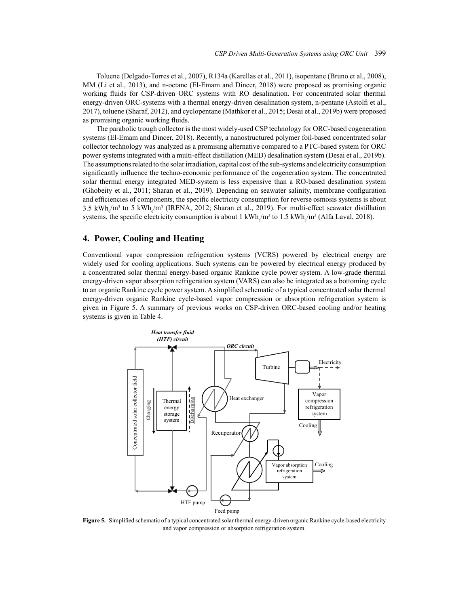Toluene (Delgado-Torres et al., 2007), R134a (Karellas et al., 2011), isopentane (Bruno et al., 2008), MM (Li et al., 2013), and n-octane (El-Emam and Dincer, 2018) were proposed as promising organic working fluids for CSP-driven ORC systems with RO desalination. For concentrated solar thermal energy-driven ORC-systems with a thermal energy-driven desalination system, n-pentane (Astolfi et al., 2017), toluene (Sharaf, 2012), and cyclopentane (Mathkor et al., 2015; Desai et al., 2019b) were proposed as promising organic working fluids.

The parabolic trough collector is the most widely-used CSP technology for ORC-based cogeneration systems (El-Emam and Dincer, 2018). Recently, a nanostructured polymer foil-based concentrated solar collector technology was analyzed as a promising alternative compared to a PTC-based system for ORC power systems integrated with a multi-effect distillation (MED) desalination system (Desai et al., 2019b). The assumptions related to the solar irradiation, capital cost of the sub-systems and electricity consumption significantly influence the techno-economic performance of the cogeneration system. The concentrated solar thermal energy integrated MED-system is less expensive than a RO-based desalination system (Ghobeity et al., 2011; Sharan et al., 2019). Depending on seawater salinity, membrane configuration and efficiencies of components, the specific electricity consumption for reverse osmosis systems is about 3.5 kWh<sub>e</sub>/m<sup>3</sup> to 5 kWh<sub>e</sub>/m<sup>3</sup> (IRENA, 2012; Sharan et al., 2019). For multi-effect seawater distillation systems, the specific electricity consumption is about 1 kWh<sub>e</sub>/m<sup>3</sup> to 1.5 kWh<sub>e</sub>/m<sup>3</sup> (Alfa Laval, 2018).

#### **4. Power, Cooling and Heating**

Conventional vapor compression refrigeration systems (VCRS) powered by electrical energy are widely used for cooling applications. Such systems can be powered by electrical energy produced by a concentrated solar thermal energy-based organic Rankine cycle power system. A low-grade thermal energy-driven vapor absorption refrigeration system (VARS) can also be integrated as a bottoming cycle to an organic Rankine cycle power system. A simplified schematic of a typical concentrated solar thermal energy-driven organic Rankine cycle-based vapor compression or absorption refrigeration system is given in Figure 5. A summary of previous works on CSP-driven ORC-based cooling and/or heating systems is given in Table 4.



Figure 5. Simplified schematic of a typical concentrated solar thermal energy-driven organic Rankine cycle-based electricity and vapor compression or absorption refrigeration system.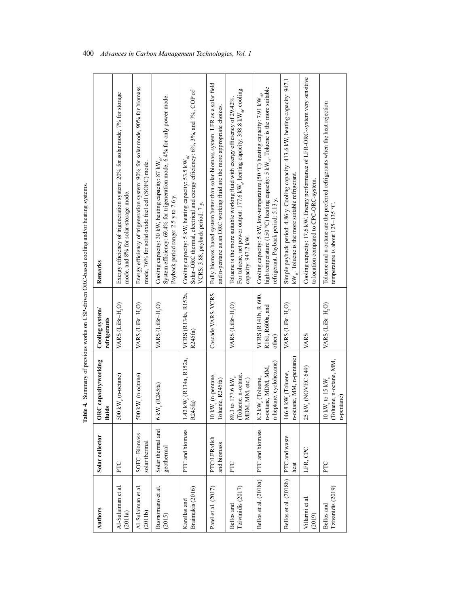Table 4. Summary of previous works on CSP-driven ORC-based cooling and/or heating systems. **Table 4.** Summary of previous works on CSP-driven ORC-based cooling and/or heating systems.

| Authors                          | Solar collector                    | ORC capacity/working<br>uids<br>€                                                           | Cooling system/<br>refrigerants                   | Remarks                                                                                                                                                                                                                                      |
|----------------------------------|------------------------------------|---------------------------------------------------------------------------------------------|---------------------------------------------------|----------------------------------------------------------------------------------------------------------------------------------------------------------------------------------------------------------------------------------------------|
| Al-Sulaiman et al.<br>(2011a)    | PTC                                | 500 kW <sub>e</sub> (n-octane)                                                              | VARS (LiBr-H <sub>2</sub> O)                      | Exergy efficiency of trigeneration system: 20% for solar mode, 7% for storage<br>mode, and 8% for solar-storage mode.                                                                                                                        |
| Al-Sulaiman et al.<br>(2011b)    | SOFC-Biomass-<br>solar thermal     | 500 kW <sub>e</sub> (n-octane)                                                              | VARS (LiBr-H <sub>2</sub> O)                      | Energy efficiency of trigeneration system: 90% for solar mode, 90% for biomass<br>mode, 76% for solid oxide fuel cell (SOFC) mode.                                                                                                           |
| Buonomano et al.<br>(2015)       | Solar thermal and<br>geothermal    | $kW_{e}$ (R245fa)<br>$\circ$                                                                | VARS (LiBr-H,O)                                   | System efficiency: 69.4% for trigeneration mode, 6.4% for only power mode.<br>Cooling capacity: 30 kW, heating capacity: 87 kW,<br>Payback period range: 2.5 y to 7.6 y.                                                                     |
| Braimakis (2016)<br>Karellas and | PTC and biomass                    | .42 kW <sub>e</sub> (R134a, R152a,<br>R245fa)                                               | VCRS (R134a, R152a,<br>R245fa)                    | Solar-ORC thermal, electrical and exergy efficiency: 6%, 3%, and 7%. COP of<br>Cooling capacity: 5 kW, heating capacity: 53.5 kW.<br>VCRS: 3.88, payback period: 7 y.                                                                        |
| Patel et al. (2017)              | <b>PTC/LFR/dish</b><br>and biomass | 0 kW <sub>e</sub> (n-pentane,<br>oluene, R245fa)                                            | Cascade VARS-VCRS                                 | Fully biomass-based system better than solar-biomass system. LFR as a solar field<br>and n-pentane as an ORC working fluid are the more appropriate choices.                                                                                 |
| Tzivanidis (2017)<br>Bellos and  | PTC                                | (Toluene, n-octane,<br>MDM, MM, etc.)<br>9.3 to 177.6 kW <sub>e</sub><br>$\infty$           | VARS (LiBr-H,O)                                   | For toluene, net power output: 177.6 kW, heating capacity: 398.8 kW <sub>th</sub> , cooling<br>Toluene is the more suitable working fluid with exergy efficiency of 29.42%<br>capacity: 947.2 kW.                                            |
| Bellos et al. (2018a)            | PTC and biomass                    | n-heptane, cyclohexane)<br>n-octane, MDM, MM,<br>.2 kW <sub>e</sub> (Toluene,<br>$^{\circ}$ | VCRS (R141b, R 600,<br>R161, R600a, and<br>other) | high temperature (150 °C) heating capacity: $5 \, \text{kW}_{\text{in}}$ . Toluene is the more suitable<br>Cooling capacity: 5 kW, low-temperature (50 °C) heating capacity: 7.91 kW <sub>ul</sub> ,<br>refrigerant. Payback period: 5.13 y. |
| Bellos et al. (2018b)            | PTC and waste<br>heat              | n-octane, MM, n-pentane)<br>146.8 kW <sub>e</sub> (Toluene,                                 | VARS (LiBr-H,O)                                   | Simple payback period: 4.86 y. Cooling capacity: 413.6 kW, heating capacity: 947.1<br>$kW_{\text{th}}$ . Toluene is the more suitable refrigerant.                                                                                           |
| Villarini et al<br>(2019)        | LFR, CPC                           | 5 kW <sub>e</sub> (NOVEC 649)<br>ς,                                                         | <b>VARS</b>                                       | Cooling capacity: 17.6 kW. Energy performance of LFR-ORC-system very sensitive<br>to location compared to CPC-ORC-system.                                                                                                                    |
| Tzivanidis (2019)<br>Bellos and  | PTC                                | $10 \text{ kW}_e$ to $15 \text{ kW}_e$<br>(Toluene, n-octane, MM,<br>n-pentane)             | VARS (LiBr-H <sub>2</sub> O)                      | Toluene and n-octane are the preferred refrigerants when the heat rejection<br>temperature is about 125-135 °C.                                                                                                                              |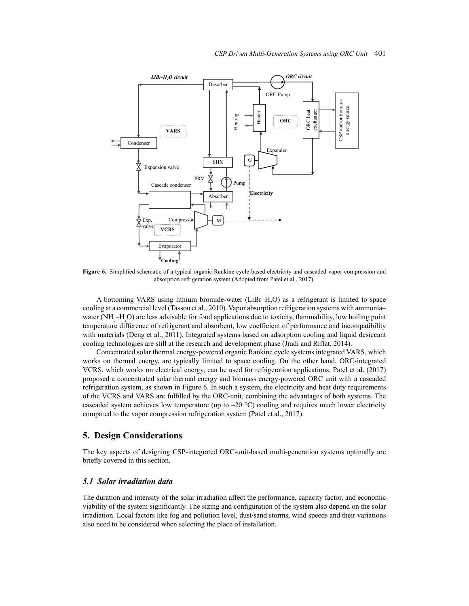

absorption refrigeration system (Adopted from Patel et al., 2017). **Figure 6.** Simplified schematic of a typical organic Rankine cycle-based electricity and cascaded vapor compression and

A bottoming VARS using lithium bromide-water ( $LiBr-H_2O$ ) as a refrigerant is limited to space cooling at a commercial level (Tassou et al., 2010). Vapor absorption refrigeration systems with ammonia– water (NH<sub>3</sub>–H<sub>2</sub>O) are less advisable for food applications due to toxicity, flammability, low boiling point temperature difference of refrigerant and absorbent, low coefficient of performance and incompatibility with materials (Deng et al., 2011). Integrated systems based on adsorption cooling and liquid desiccant cooling technologies are still at the research and development phase (Jradi and Riffat, 2014).

Concentrated solar thermal energy-powered organic Rankine cycle systems integrated VARS, which works on thermal energy, are typically limited to space cooling. On the other hand, ORC-integrated VCRS, which works on electrical energy, can be used for refrigeration applications. Patel et al. (2017) proposed a concentrated solar thermal energy and biomass energy-powered ORC unit with a cascaded refrigeration system, as shown in Figure 6. In such a system, the electricity and heat duty requirements of the VCRS and VARS are fulfilled by the ORC-unit, combining the advantages of both systems. The cascaded system achieves low temperature (up to  $-20$  °C) cooling and requires much lower electricity compared to the vapor compression refrigeration system (Patel et al., 2017).

#### **5. Design Considerations**

The key aspects of designing CSP-integrated ORC-unit-based multi-generation systems optimally are briefly covered in this section.

#### *5.1 Solar irradiation data*

The duration and intensity of the solar irradiation affect the performance, capacity factor, and economic viability of the system significantly. The sizing and configuration of the system also depend on the solar irradiation. Local factors like fog and pollution level, dust/sand storms, wind speeds and their variations also need to be considered when selecting the place of installation.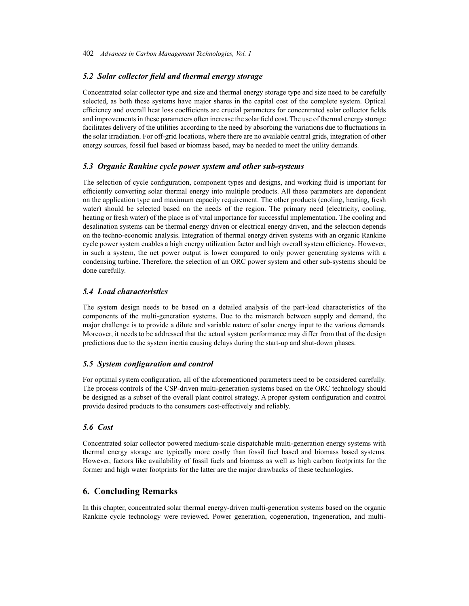#### *5.2 Solar collector field and thermal energy storage*

Concentrated solar collector type and size and thermal energy storage type and size need to be carefully selected, as both these systems have major shares in the capital cost of the complete system. Optical efficiency and overall heat loss coefficients are crucial parameters for concentrated solar collector fields and improvements in these parameters often increase the solar field cost. The use of thermal energy storage facilitates delivery of the utilities according to the need by absorbing the variations due to fluctuations in the solar irradiation. For off-grid locations, where there are no available central grids, integration of other energy sources, fossil fuel based or biomass based, may be needed to meet the utility demands.

#### *5.3 Organic Rankine cycle power system and other sub-systems*

The selection of cycle configuration, component types and designs, and working fluid is important for efficiently converting solar thermal energy into multiple products. All these parameters are dependent on the application type and maximum capacity requirement. The other products (cooling, heating, fresh water) should be selected based on the needs of the region. The primary need (electricity, cooling, heating or fresh water) of the place is of vital importance for successful implementation. The cooling and desalination systems can be thermal energy driven or electrical energy driven, and the selection depends on the techno-economic analysis. Integration of thermal energy driven systems with an organic Rankine cycle power system enables a high energy utilization factor and high overall system efficiency. However, in such a system, the net power output is lower compared to only power generating systems with a condensing turbine. Therefore, the selection of an ORC power system and other sub-systems should be done carefully.

#### *5.4 Load characteristics*

The system design needs to be based on a detailed analysis of the part-load characteristics of the components of the multi-generation systems. Due to the mismatch between supply and demand, the major challenge is to provide a dilute and variable nature of solar energy input to the various demands. Moreover, it needs to be addressed that the actual system performance may differ from that of the design predictions due to the system inertia causing delays during the start-up and shut-down phases.

#### *5.5 System configuration and control*

For optimal system configuration, all of the aforementioned parameters need to be considered carefully. The process controls of the CSP-driven multi-generation systems based on the ORC technology should be designed as a subset of the overall plant control strategy. A proper system configuration and control provide desired products to the consumers cost-effectively and reliably.

#### *5.6 Cost*

Concentrated solar collector powered medium-scale dispatchable multi-generation energy systems with thermal energy storage are typically more costly than fossil fuel based and biomass based systems. However, factors like availability of fossil fuels and biomass as well as high carbon footprints for the former and high water footprints for the latter are the major drawbacks of these technologies.

#### **6. Concluding Remarks**

In this chapter, concentrated solar thermal energy-driven multi-generation systems based on the organic Rankine cycle technology were reviewed. Power generation, cogeneration, trigeneration, and multi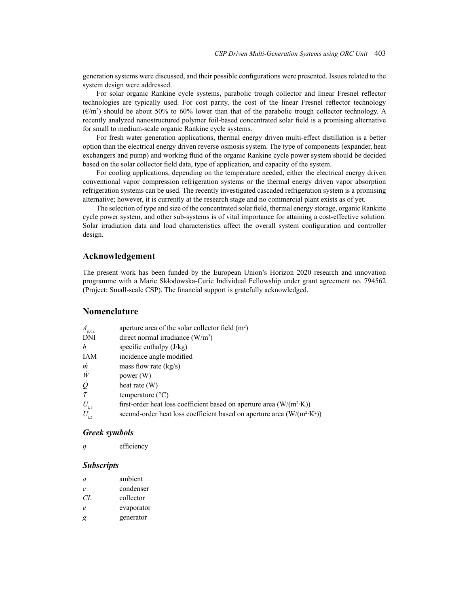generation systems were discussed, and their possible configurations were presented. Issues related to the system design were addressed.

For solar organic Rankine cycle systems, parabolic trough collector and linear Fresnel reflector technologies are typically used. For cost parity, the cost of the linear Fresnel reflector technology  $(\epsilon/m^2)$  should be about 50% to 60% lower than that of the parabolic trough collector technology. A recently analyzed nanostructured polymer foil-based concentrated solar field is a promising alternative for small to medium-scale organic Rankine cycle systems.

For fresh water generation applications, thermal energy driven multi-effect distillation is a better option than the electrical energy driven reverse osmosis system. The type of components (expander, heat exchangers and pump) and working fluid of the organic Rankine cycle power system should be decided based on the solar collector field data, type of application, and capacity of the system.

For cooling applications, depending on the temperature needed, either the electrical energy driven conventional vapor compression refrigeration systems or the thermal energy driven vapor absorption refrigeration systems can be used. The recently investigated cascaded refrigeration system is a promising alternative; however, it is currently at the research stage and no commercial plant exists as of yet.

The selection of type and size of the concentrated solar field, thermal energy storage, organic Rankine cycle power system, and other sub-systems is of vital importance for attaining a cost-effective solution. Solar irradiation data and load characteristics affect the overall system configuration and controller design.

#### **Acknowledgement**

The present work has been funded by the European Union's Horizon 2020 research and innovation programme with a Marie Skłodowska-Curie Individual Fellowship under grant agreement no. 794562 (Project: Small-scale CSP). The financial support is gratefully acknowledged.

#### **Nomenclature**

| $A_{p,CL}$      | aperture area of the solar collector field $(m2)$                               |
|-----------------|---------------------------------------------------------------------------------|
| DNI             | direct normal irradiance $(W/m2)$                                               |
| h               | specific enthalpy (J/kg)                                                        |
| IAM             | incidence angle modified                                                        |
| m               | mass flow rate $(kg/s)$                                                         |
| $\dot{W}$       | power $(W)$                                                                     |
| $\dot{\varrho}$ | heat rate $(W)$                                                                 |
| T               | temperature $(^{\circ}C)$                                                       |
| $U_{l,1}$       | first-order heat loss coefficient based on aperture area $(W/(m^2 \cdot K))$    |
| $U_{l,2}$       | second-order heat loss coefficient based on aperture area $(W/(m^2 \cdot K^2))$ |

#### *Greek symbols*

*η* efficiency

#### *Subscripts*

*a* ambient *c* condenser *CL* collector *e* evaporator *g* generator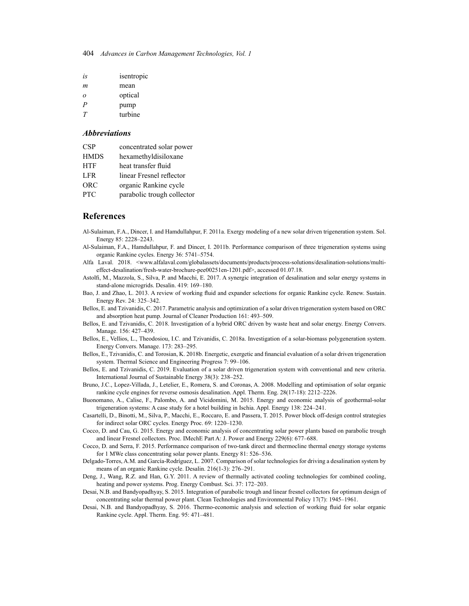| ĬS       | isentropic |
|----------|------------|
| m        | mean       |
| $\Omega$ | optical    |
| P        | pump       |
| Ŧ        | turbine    |

#### *Abbreviations*

| <b>CSP</b>  | concentrated solar power   |
|-------------|----------------------------|
| <b>HMDS</b> | hexamethyldisiloxane       |
| <b>HTF</b>  | heat transfer fluid        |
| LFR.        | linear Fresnel reflector   |
| <b>ORC</b>  | organic Rankine cycle      |
| <b>PTC</b>  | parabolic trough collector |

#### **References**

- Al-Sulaiman, F.A., Dincer, I. and Hamdullahpur, F. 2011a. Exergy modeling of a new solar driven trigeneration system. Sol. Energy 85: 2228–2243.
- Al-Sulaiman, F.A., Hamdullahpur, F. and Dincer, I. 2011b. Performance comparison of three trigeneration systems using organic Rankine cycles. Energy 36: 5741–5754.
- Alfa Laval. 2018. <www.alfalaval.com/globalassets/documents/products/process-solutions/desalination-solutions/multieffect-desalination/fresh-water-brochure-pee00251en-1201.pdf>, accessed 01.07.18.
- Astolfi, M., Mazzola, S., Silva, P. and Macchi, E. 2017. A synergic integration of desalination and solar energy systems in stand-alone microgrids. Desalin. 419: 169–180.
- Bao, J. and Zhao, L. 2013. A review of working fluid and expander selections for organic Rankine cycle. Renew. Sustain. Energy Rev. 24: 325–342.
- Bellos, E. and Tzivanidis, C. 2017. Parametric analysis and optimization of a solar driven trigeneration system based on ORC and absorption heat pump. Journal of Cleaner Production 161: 493–509.
- Bellos, E. and Tzivanidis, C. 2018. Investigation of a hybrid ORC driven by waste heat and solar energy. Energy Convers. Manage. 156: 427–439.
- Bellos, E., Vellios, L., Theodosiou, I.C. and Tzivanidis, C. 2018a. Investigation of a solar-biomass polygeneration system. Energy Convers. Manage. 173: 283–295.
- Bellos, E., Tzivanidis, C. and Torosian, K. 2018b. Energetic, exergetic and financial evaluation of a solar driven trigeneration system. Thermal Science and Engineering Progress 7: 99–106.
- Bellos, E. and Tzivanidis, C. 2019. Evaluation of a solar driven trigeneration system with conventional and new criteria. International Journal of Sustainable Energy 38(3): 238–252.
- Bruno, J.C., Lopez-Villada, J., Letelier, E., Romera, S. and Coronas, A. 2008. Modelling and optimisation of solar organic rankine cycle engines for reverse osmosis desalination. Appl. Therm. Eng. 28(17-18): 2212–2226.
- Buonomano, A., Calise, F., Palombo, A. and Vicidomini, M. 2015. Energy and economic analysis of geothermal-solar trigeneration systems: A case study for a hotel building in Ischia. Appl. Energy 138: 224–241.
- Casartelli, D., Binotti, M., Silva, P., Macchi, E., Roccaro, E. and Passera, T. 2015. Power block off-design control strategies for indirect solar ORC cycles. Energy Proc. 69: 1220–1230.
- Cocco, D. and Cau, G. 2015. Energy and economic analysis of concentrating solar power plants based on parabolic trough and linear Fresnel collectors. Proc. IMechE Part A: J. Power and Energy 229(6): 677–688.
- Cocco, D. and Serra, F. 2015. Performance comparison of two-tank direct and thermocline thermal energy storage systems for 1 MWe class concentrating solar power plants. Energy 81: 526–536.
- Delgado-Torres, A.M. and García-Rodríguez, L. 2007. Comparison of solar technologies for driving a desalination system by means of an organic Rankine cycle. Desalin. 216(1-3): 276–291.
- Deng, J., Wang, R.Z. and Han, G.Y. 2011. A review of thermally activated cooling technologies for combined cooling, heating and power systems. Prog. Energy Combust. Sci. 37: 172–203.
- Desai, N.B. and Bandyopadhyay, S. 2015. Integration of parabolic trough and linear fresnel collectors for optimum design of concentrating solar thermal power plant. Clean Technologies and Environmental Policy 17(7): 1945–1961.
- Desai, N.B. and Bandyopadhyay, S. 2016. Thermo-economic analysis and selection of working fluid for solar organic Rankine cycle. Appl. Therm. Eng. 95: 471–481.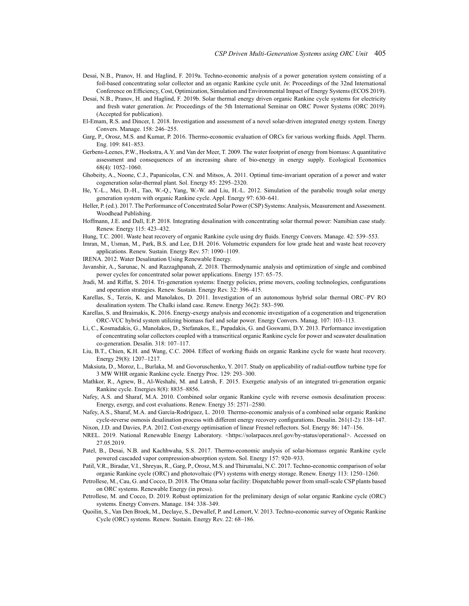- Desai, N.B., Pranov, H. and Haglind, F. 2019a. Techno-economic analysis of a power generation system consisting of a foil-based concentrating solar collector and an organic Rankine cycle unit. *In*: Proceedings of the 32nd International Conference on Efficiency, Cost, Optimization, Simulation and Environmental Impact of Energy Systems (ECOS 2019).
- Desai, N.B., Pranov, H. and Haglind, F. 2019b. Solar thermal energy driven organic Rankine cycle systems for electricity and fresh water generation. *In*: Proceedings of the 5th International Seminar on ORC Power Systems (ORC 2019). (Accepted for publication).
- El-Emam, R.S. and Dincer, I. 2018. Investigation and assessment of a novel solar-driven integrated energy system. Energy Convers. Manage. 158: 246–255.
- Garg, P., Orosz, M.S. and Kumar, P. 2016. Thermo-economic evaluation of ORCs for various working fluids. Appl. Therm. Eng. 109: 841–853.
- Gerbens-Leenes, P.W., Hoekstra, A.Y. and Van der Meer, T. 2009. The water footprint of energy from biomass: A quantitative assessment and consequences of an increasing share of bio-energy in energy supply. Ecological Economics 68(4): 1052–1060.
- Ghobeity, A., Noone, C.J., Papanicolas, C.N. and Mitsos, A. 2011. Optimal time-invariant operation of a power and water cogeneration solar-thermal plant. Sol. Energy 85: 2295–2320.
- He, Y.-L., Mei, D.-H., Tao, W.-Q., Yang, W.-W. and Liu, H.-L. 2012. Simulation of the parabolic trough solar energy generation system with organic Rankine cycle. Appl. Energy 97: 630–641.
- Heller, P. (ed.). 2017. The Performance of Concentrated Solar Power (CSP) Systems: Analysis, Measurement and Assessment. Woodhead Publishing.
- Hoffmann, J.E. and Dall, E.P. 2018. Integrating desalination with concentrating solar thermal power: Namibian case study. Renew. Energy 115: 423–432.
- Hung, T.C. 2001. Waste heat recovery of organic Rankine cycle using dry fluids. Energy Convers. Manage. 42: 539–553.
- Imran, M., Usman, M., Park, B.S. and Lee, D.H. 2016. Volumetric expanders for low grade heat and waste heat recovery applications. Renew. Sustain. Energy Rev. 57: 1090–1109.
- IRENA. 2012. Water Desalination Using Renewable Energy.
- Javanshir, A., Sarunac, N. and Razzaghpanah, Z. 2018. Thermodynamic analysis and optimization of single and combined power cycles for concentrated solar power applications. Energy 157: 65–75.
- Jradi, M. and Riffat, S. 2014. Tri-generation systems: Energy policies, prime movers, cooling technologies, configurations and operation strategies. Renew. Sustain. Energy Rev. 32: 396–415.
- Karellas, S., Terzis, K. and Manolakos, D. 2011. Investigation of an autonomous hybrid solar thermal ORC–PV RO desalination system. The Chalki island case. Renew. Energy 36(2): 583–590.
- Karellas, S. and Braimakis, K. 2016. Energy-exergy analysis and economic investigation of a cogeneration and trigeneration ORC-VCC hybrid system utilizing biomass fuel and solar power. Energy Convers. Manag. 107: 103–113.
- Li, C., Kosmadakis, G., Manolakos, D., Stefanakos, E., Papadakis, G. and Goswami, D.Y. 2013. Performance investigation of concentrating solar collectors coupled with a transcritical organic Rankine cycle for power and seawater desalination co-generation. Desalin. 318: 107–117.
- Liu, B.T., Chien, K.H. and Wang, C.C. 2004. Effect of working fluids on organic Rankine cycle for waste heat recovery. Energy 29(8): 1207–1217.
- Maksiuta, D., Moroz, L., Burlaka, M. and Govoruschenko, Y. 2017. Study on applicability of radial-outflow turbine type for 3 MW WHR organic Rankine cycle. Energy Proc. 129: 293–300.
- Mathkor, R., Agnew, B., Al-Weshahi, M. and Latrsh, F. 2015. Exergetic analysis of an integrated tri-generation organic Rankine cycle. Energies 8(8): 8835–8856.
- Nafey, A.S. and Sharaf, M.A. 2010. Combined solar organic Rankine cycle with reverse osmosis desalination process: Energy, exergy, and cost evaluations. Renew. Energy 35: 2571–2580.
- Nafey, A.S., Sharaf, M.A. and García-Rodríguez, L. 2010. Thermo-economic analysis of a combined solar organic Rankine cycle-reverse osmosis desalination process with different energy recovery configurations. Desalin. 261(1-2): 138–147.
- Nixon, J.D. and Davies, P.A. 2012. Cost-exergy optimisation of linear Fresnel reflectors. Sol. Energy 86: 147–156.
- NREL. 2019. National Renewable Energy Laboratory. <https://solarpaces.nrel.gov/by-status/operational>. Accessed on 27.05.2019.
- Patel, B., Desai, N.B. and Kachhwaha, S.S. 2017. Thermo-economic analysis of solar-biomass organic Rankine cycle powered cascaded vapor compression-absorption system. Sol. Energy 157: 920–933.
- Patil, V.R., Biradar, V.I., Shreyas, R., Garg, P., Orosz, M.S. and Thirumalai, N.C. 2017. Techno-economic comparison of solar organic Rankine cycle (ORC) and photovoltaic (PV) systems with energy storage. Renew. Energy 113: 1250–1260.
- Petrollese, M., Cau, G. and Cocco, D. 2018. The Ottana solar facility: Dispatchable power from small-scale CSP plants based on ORC systems. Renewable Energy (in press).
- Petrollese, M. and Cocco, D. 2019. Robust optimization for the preliminary design of solar organic Rankine cycle (ORC) systems. Energy Convers. Manage. 184: 338–349.
- Quoilin, S., Van Den Broek, M., Declaye, S., Dewallef, P. and Lemort, V. 2013. Techno-economic survey of Organic Rankine Cycle (ORC) systems. Renew. Sustain. Energy Rev. 22: 68–186.